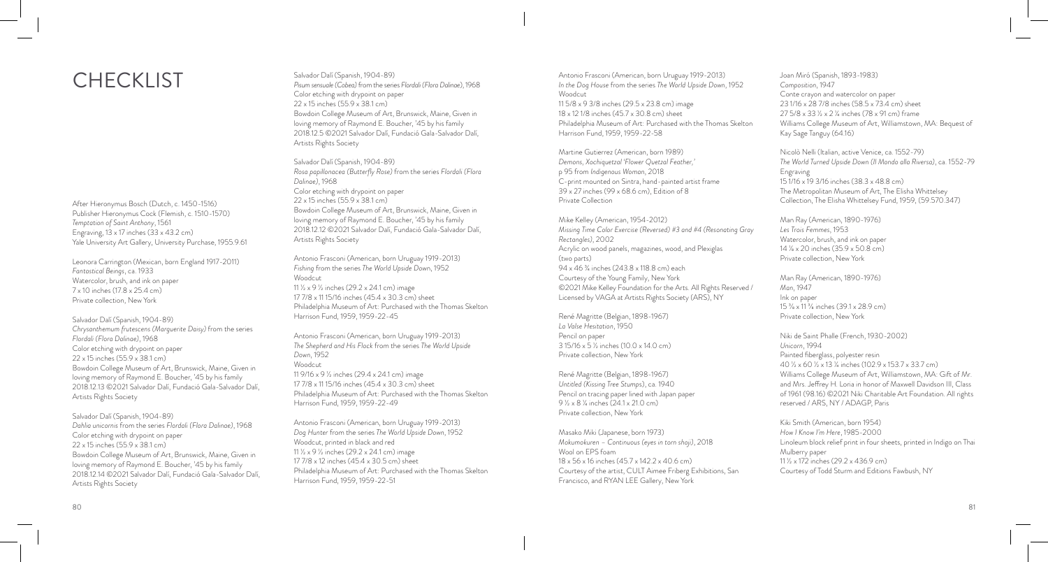After Hieronymus Bosch (Dutch, c. 1450-1516) Publisher Hieronymus Cock (Flemish, c. 1510-1570) *Temptation of Saint Anthony*, 1561 Engraving, 13 x 17 inches (33 x 43.2 cm) Yale University Art Gallery, University Purchase, 1955.9.61

Leonora Carrington (Mexican, born England 1917-2011) *Fantastical Beings*, ca. 1933 Watercolor, brush, and ink on paper 7 x 10 inches (17.8 x 25.4 cm) Private collection, New York

Salvador Dalí (Spanish, 1904-89) *Chrysanthemum frutescens (Marguerite Daisy)* from the series *Flordali (Flora Dalinae)*, 1968 Color etching with drypoint on paper 22 x 15 inches (55.9 x 38.1 cm) Bowdoin College Museum of Art, Brunswick, Maine, Given in loving memory of Raymond E. Boucher, '45 by his family 2018.12.13 ©2021 Salvador Dalí, Fundació Gala-Salvador Dalí, Artists Rights Society

Salvador Dalí (Spanish, 1904-89) *Dahlia unicornis* from the series *Flordali (Flora Dalinae)*, 1968 Color etching with drypoint on paper 22 x 15 inches (55.9 x 38.1 cm) Bowdoin College Museum of Art, Brunswick, Maine, Given in loving memory of Raymond E. Boucher, '45 by his family 2018.12.14 ©2021 Salvador Dalí, Fundació Gala-Salvador Dalí, Artists Rights Society

Salvador Dalí (Spanish, 1904-89) *Pisum sensuale (Cobea)* from the series *Flordali (Flora Dalinae*), 1968 Color etching with drypoint on paper 22 x 15 inches (55.9 x 38.1 cm) Bowdoin College Museum of Art, Brunswick, Maine, Given in loving memory of Raymond E. Boucher, '45 by his family 2018.12.5 ©2021 Salvador Dalí, Fundació Gala-Salvador Dalí, Artists Rights Society

Salvador Dalí (Spanish, 1904-89) *Rosa papillonacea (Butterfly Rose)* from the series *Flordali (Flora Dalinae)*, 1968 Color etching with drypoint on paper 22 x 15 inches (55.9 x 38.1 cm) Bowdoin College Museum of Art, Brunswick, Maine, Given in loving memory of Raymond E. Boucher, '45 by his family 2018.12.12 ©2021 Salvador Dalí, Fundació Gala-Salvador Dalí, Artists Rights Society

Antonio Frasconi (American, born Uruguay 1919-2013) *Fishing* from the series *The World Upside Dow*n, 1952 Woodcut 11 ½ x 9 ½ inches (29.2 x 24.1 cm) image 17 7/8 x 11 15/16 inches (45.4 x 30.3 cm) sheet Philadelphia Museum of Art: Purchased with the Thomas Skelton Harrison Fund, 1959, 1959-22-45

Antonio Frasconi (American, born Uruguay 1919-2013) *The Shepherd and His Flock* from the series *The World Upside Down*, 1952 Woodcut 11 9/16 x 9 ½ inches (29.4 x 24.1 cm) image 17 7/8 x 11 15/16 inches (45.4 x 30.3 cm) sheet Philadelphia Museum of Art: Purchased with the Thomas Skelton Harrison Fund, 1959, 1959-22-49

Antonio Frasconi (American, born Uruguay 1919-2013) *Dog Hunter* from the series *The World Upside Down*, 1952 Woodcut, printed in black and red 11 ½ x 9 ½ inches (29.2 x 24.1 cm) image 17 7/8 x 12 inches (45.4 x 30.5 cm) sheet Philadelphia Museum of Art: Purchased with the Thomas Skelton Harrison Fund, 1959, 1959-22-51

Antonio Frasconi (American, born Uruguay 1919-2013) *In the Dog House* from the series *The World Upside Down*, 1952 **Woodcut** 11 5/8 x 9 3/8 inches (29.5 x 23.8 cm) image 18 x 12 1/8 inches (45.7 x 30.8 cm) sheet Philadelphia Museum of Art: Purchased with the Thomas Skelton Harrison Fund, 1959, 1959-22-58

Martine Gutierrez (American, born 1989) *Demons, Xochiquetzal 'Flower Quetzal Feather,'*  p 95 from *Indigenous Woman*, 2018 C-print mounted on Sintra, hand-painted artist frame 39 x 27 inches (99 x 68.6 cm), Edition of 8 Private Collection

Mike Kelley (American, 1954-2012) *Missing Time Color Exercise (Reversed) #3 and #4 (Resonating Gray Rectangles)*, 2002 Acrylic on wood panels, magazines, wood, and Plexiglas (two parts) 94 x 46 ¾ inches (243.8 x 118.8 cm) each Courtesy of the Young Family, New York ©2021 Mike Kelley Foundation for the Arts. All Rights Reserved / Licensed by VAGA at Artists Rights Society (ARS), NY

René Magritte (Belgian, 1898-1967) *La Valse Hesitation*, 1950 Pencil on paper 3 15/16 x 5 ½ inches (10.0 x 14.0 cm) Private collection, New York

René Magritte (Belgian, 1898-1967) *Untitled (Kissing Tree Stump*s), ca. 1940 Pencil on tracing paper lined with Japan paper 9 ½ x 8 ¼ inches (24.1 x 21.0 cm) Private collection, New York

Masako Miki (Japanese, born 1973) *Mokumokuren – Continuous (eyes in torn shoji)*, 2018 Wool on EPS foam 18 x 56 x 16 inches (45.7 x 142.2 x 40.6 cm) Courtesy of the artist, CULT Aimee Friberg Exhibitions, San Francisco, and RYAN LEE Gallery, New York

Joan Miró (Spanish, 1893-1983) *Composition*, 1947 Conte crayon and watercolor on paper 23 1/16 x 28 7/8 inches (58.5 x 73.4 cm) sheet 27 5/8 x 33 ½ x 2 ¼ inches (78 x 91 cm) frame Williams College Museum of Art, Williamstown, MA: Bequest of Kay Sage Tanguy (64.16)

Nicolò Nelli (Italian, active Venice, ca. 1552-79) *The World Turned Upside Down (Il Mondo alla Riversa)*, ca. 1552-79 Engraving 15 1/16 x 19 3/16 inches (38.3 x 48.8 cm) The Metropolitan Museum of Art, The Elisha Whittelsey Collection, The Elisha Whittelsey Fund, 1959, (59.570.347)

Man Ray (American, 1890-1976) *Les Trois Femmes*, 1953 Watercolor, brush, and ink on paper 14 1/8 x 20 inches (35.9 x 50.8 cm) Private collection, New York

Man Ray (American, 1890-1976) *Man*, 1947 Ink on paper 15 3/8 x 11 3/8 inches (39.1 x 28.9 cm) Private collection, New York

Niki de Saint Phalle (French, 1930-2002) *Unicorn*, 1994 Painted fiberglass, polyester resin 40 ½ x 60 ½ x 13 ¼ inches (102.9 x 153.7 x 33.7 cm) Williams College Museum of Art, Williamstown, MA: Gift of Mr. and Mrs. Jeffrey H. Loria in honor of Maxwell Davidson III, Class of 1961 (98.16) ©2021 Niki Charitable Art Foundation. All rights reserved / ARS, NY / ADAGP, Paris

Kiki Smith (American, born 1954) *How I Know I'm Here*, 1985-2000 Linoleum block relief print in four sheets, printed in Indigo on Thai Mulberry paper 11 ½ x 172 inches (29.2 x 436.9 cm) Courtesy of Todd Sturm and Editions Fawbush, NY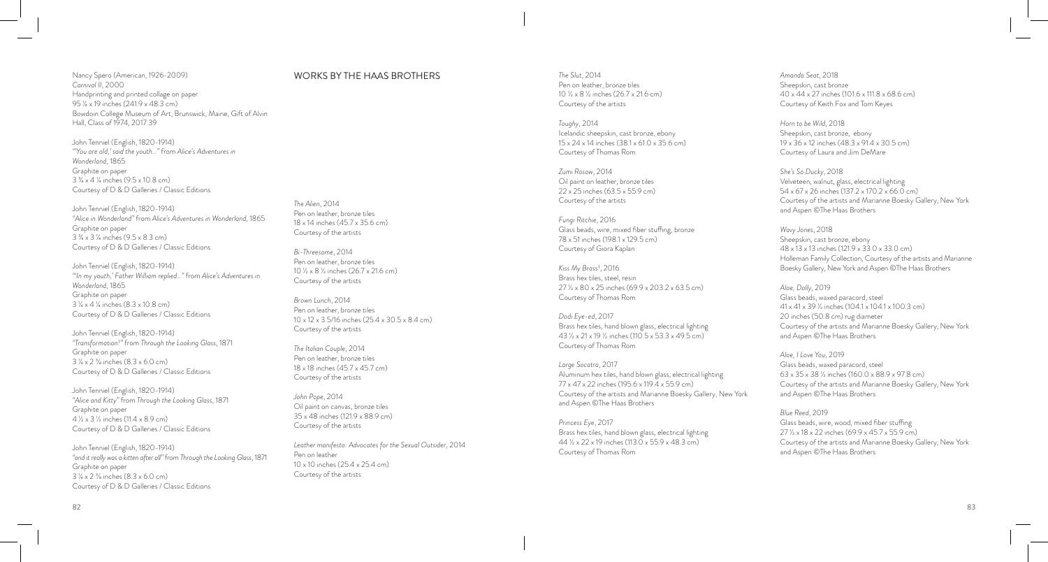Nancy Spero (American, 1926-2009) *Carnival II*, 2000 Handprinting and printed collage on paper 95 ¼ x 19 inches (241.9 x 48.3 cm) Bowdoin College Museum of Art, Brunswick, Maine, Gift of Alvin Hall, Class of 1974, 2017.39

John Tenniel (English, 1820-1914) *"'You are old,' said the youth…"* from *Alice's Adventures in Wonderland*, 1865 Graphite on paper 3 ¾ x 4 ¼ inches (9.5 x 10.8 cm) Courtesy of D & D Galleries / Classic Editions

John Tenniel (English, 1820-1914) *"Alice in Wonderland"* from *Alice's Adventures in Wonderland,* 1865 Graphite on paper 3 ¾ x 3 ¼ inches (9.5 x 8.3 cm) Courtesy of D & D Galleries / Classic Editions

John Tenniel (English, 1820-1914) *"'In my youth,' Father William replied…"* from *Alice's Adventures in Wonderland*, 1865 Graphite on paper 3 ¼ x 4 ¼ inches (8.3 x 10.8 cm) Courtesy of D & D Galleries / Classic Editions

John Tenniel (English, 1820-1914) *"Transformation!"* from *Through the Looking Glass*, 1871 Graphite on paper 3 ¼ x 2 3/8 inches (8.3 x 6.0 cm) Courtesy of D & D Galleries / Classic Editions

John Tenniel (English, 1820-1914) *"Alice and Kitty"* from *Through the Looking Glass*, 1871 Graphite on paper 4 ½ x 3 ½ inches (11.4 x 8.9 cm) Courtesy of D & D Galleries / Classic Editions

John Tenniel (English, 1820-1914) *"and it really was a kitten after all"* from *Through the Looking Glass*, 1871 Graphite on paper 3 ¼ x 2 3/8 inches (8.3 x 6.0 cm) Courtesy of D & D Galleries / Classic Editions

## WORKS BY THE HAAS BROTHERS

*The Alien*, 2014

*Bi-Threesome*, 2014 Pen on leather, bronze tiles 10 ½ x 8 ½ inches (26.7 x 21.6 cm)

Courtesy of the artists *Brown Lunch*, 2014 Pen on leather, bronze tiles

Courtesy of the artists *The Italian Couple*, 2014 Pen on leather, bronze tiles 18 x 18 inches (45.7 x 45.7 cm) Courtesy of the artists

*John Pope*, 2014

Pen on leather

Oil paint on canvas, bronze tiles 35 x 48 inches (121.9 x 88.9 cm) Courtesy of the artists

10 x 10 inches (25.4 x 25.4 cm) Courtesy of the artists

10 x 12 x 3 5/16 inches (25.4 x 30.5 x 8.4 cm)

*Leather manifesto: Advocates for the Sexual Outsider*, 2014

Pen on leather, bronze tiles 18 x 14 inches (45.7 x 35.6 cm) Courtesy of the artists

*The Slut*, 2014 Pen on leather, bronze tiles 10 ½ x 8 ½ inches (26.7 x 21.6 cm) Courtesy of the artists

*Toughy*, 2014 Icelandic sheepskin, cast bronze, ebony 15 x 24 x 14 inches (38.1 x 61.0 x 35.6 cm) Courtesy of Thomas Rom

*Zumi Rosow*, 2014 Oil paint on leather, bronze tiles 22 x 25 inches (63.5 x 55.9 cm) Courtesy of the artists

*Fungi Ritchie*, 2016 Glass beads, wire, mixed fiber stuffing, bronze 78 x 51 inches (198.1 x 129.5 cm) Courtesy of Giora Kaplan

*Kiss My Brass!*, 2016 Brass hex tiles, steel, resin 27 ½ x 80 x 25 inches (69.9 x 203.2 x 63.5 cm) Courtesy of Thomas Rom

*Dodi Eye-ed*, 2017 Brass hex tiles, hand blown glass, electrical lighting 43 ½ x 21 x 19 ½ inches (110.5 x 53.3 x 49.5 cm) Courtesy of Thomas Rom

*Large Socatra*, 2017 Aluminum hex tiles, hand blown glass, electrical lighting 77 x 47 x 22 inches (195.6 x 119.4 x 55.9 cm) Courtesy of the artists and Marianne Boesky Gallery, New York and Aspen ©The Haas Brothers

*Princess Eye*, 2017 Brass hex tiles, hand blown glass, electrical lighting 44 ½ x 22 x 19 inches (113.0 x 55.9 x 48.3 cm) Courtesy of Thomas Rom

*Amanda Seat*, 2018 Sheepskin, cast bronze 40 x 44 x 27 inches (101.6 x 111.8 x 68.6 cm) Courtesy of Keith Fox and Tom Keyes

*Horn to be Wild*, 2018 Sheepskin, cast bronze, ebony 19 x 36 x 12 inches (48.3 x 91.4 x 30.5 cm) Courtesy of Laura and Jim DeMare

*She's So Ducky*, 2018 Velveteen, walnut, glass, electrical lighting 54 x 67 x 26 inches (137.2 x 170.2 x 66.0 cm) Courtesy of the artists and Marianne Boesky Gallery, New York and Aspen ©The Haas Brothers

*Wavy Jones*, 2018 Sheepskin, cast bronze, ebony 48 x 13 x 13 inches (121.9 x 33.0 x 33.0 cm) Holleman Family Collection, Courtesy of the artists and Marianne Boesky Gallery, New York and Aspen ©The Haas Brothers

*Aloe, Dolly*, 2019 Glass beads, waxed paracord, steel 41 x 41 x 39 ½ inches (104.1 x 104.1 x 100.3 cm) 20 inches (50.8 cm) rug diameter Courtesy of the artists and Marianne Boesky Gallery, New York and Aspen ©The Haas Brothers

*Aloe, I Love You*, 2019 Glass beads, waxed paracord, steel 63 x 35 x 38 ½ inches (160.0 x 88.9 x 97.8 cm) Courtesy of the artists and Marianne Boesky Gallery, New York and Aspen ©The Haas Brothers

*Blue Reed*, 2019 Glass beads, wire, wood, mixed fiber stuffing 27 ½ x 18 x 22 inches (69.9 x 45.7 x 55.9 cm) Courtesy of the artists and Marianne Boesky Gallery, New York and Aspen ©The Haas Brothers